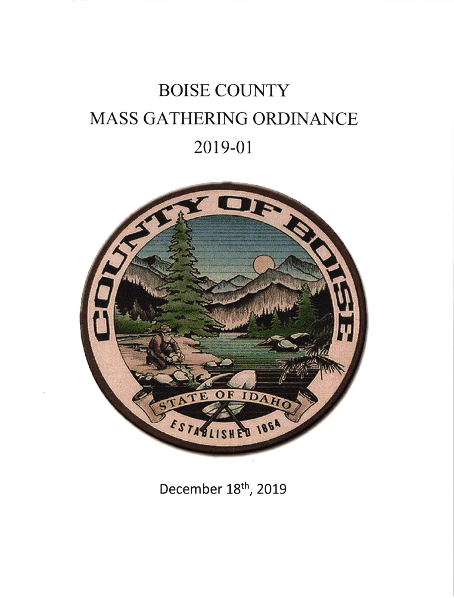# **BOISE COUNTY** MASS GATHERING ORDINANCE 2019-01



December 18th, 2019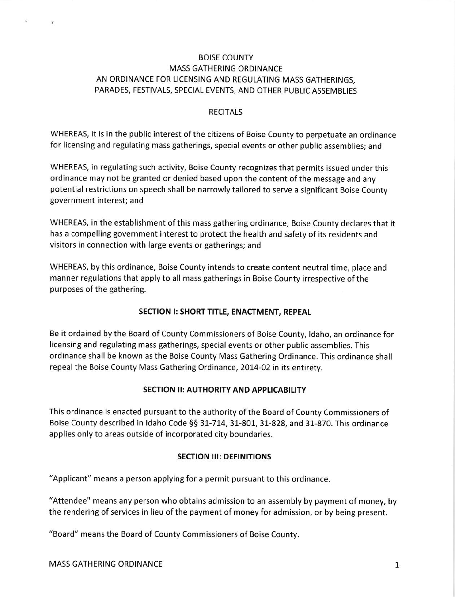## BOISE COUNTY MASS GATHERING ORDINANCE AN ORDINANCE FOR LICENSING AND REGULATING MASS GATHERINGS, PARADES, FESTIVALS, SPECIAL EVENTS, AND OTHER PUBLIC ASSEMBLIES

#### RECITALS

WHEREAS, it is in the public interest of the citizens of Boise County to perpetuate an ordinance for licensing and regulating mass gatherings, special events or other public assemblies; and

WHEREAS, in regulating such activity, Boise County recognizes that permits issued under this ordinance may not be granted or denied based upon the content of the message and any potential restrictions on speech shall be narrowly tailored to serve a significant Boise County government interest; and

WHEREAS, in the establishment of this mass gathering ordinance, Boise County declares that it has a compelling government interest to protect the health and safety of its residents and visitors in connection with large events or gatherings; and

WHEREAS, by this ordinance, Boise County intends to create content neutral time, place and manner regulations that apply to all mass gatherings in Boise County irrespective of the purposes of the gathering.

#### SECTION I: SHORT TITLE, ENACTMENT, REPEAL

Be it ordained by the Board of County Commissioners of Boise County, ldaho, an ordinance for licensing and regulating mass gatherings, special events or other public assemblies. This ordinance shall be known as the Boise County Mass Gathering Ordinance. This ordinance shall repeal the Boise County Mass Gathering Ordinance, 2014-02 in its entirety.

### SECTION ll: AUTHORITY AND APPLICABILITY

This ordinance is enacted pursuant to the authority of the Board of County Commissioners of Boise County described in Idaho Code §§ 31-714, 31-801, 31-828, and 31-870. This ordinance applies only to areas outside of incorporated city boundaries.

#### **SECTION III: DEFINITIONS**

"Applicant" means a person applying for a permit pursuant to this ordinance.

"Attendee" means any person who obtains admission to an assembly by payment of money, by the rendering of services in lieu of the payment of money for admission, or by being present.

"Board" means the Board of County Commissioners of Boise County